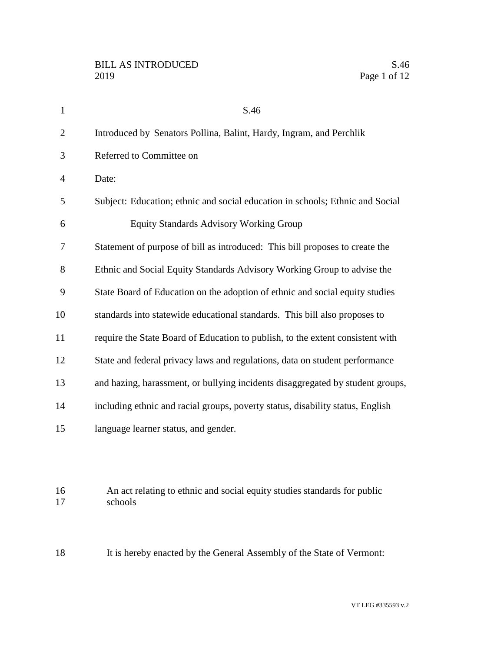| $\mathbf{1}$   | S.46                                                                                |
|----------------|-------------------------------------------------------------------------------------|
| $\overline{2}$ | Introduced by Senators Pollina, Balint, Hardy, Ingram, and Perchlik                 |
| 3              | Referred to Committee on                                                            |
| 4              | Date:                                                                               |
| 5              | Subject: Education; ethnic and social education in schools; Ethnic and Social       |
| 6              | <b>Equity Standards Advisory Working Group</b>                                      |
| 7              | Statement of purpose of bill as introduced: This bill proposes to create the        |
| 8              | Ethnic and Social Equity Standards Advisory Working Group to advise the             |
| 9              | State Board of Education on the adoption of ethnic and social equity studies        |
| 10             | standards into statewide educational standards. This bill also proposes to          |
| 11             | require the State Board of Education to publish, to the extent consistent with      |
| 12             | State and federal privacy laws and regulations, data on student performance         |
| 13             | and hazing, harassment, or bullying incidents disaggregated by student groups,      |
| 14             | including ethnic and racial groups, poverty status, disability status, English      |
| 15             | language learner status, and gender.                                                |
| 16<br>17       | An act relating to ethnic and social equity studies standards for public<br>schools |
| 18             | It is hereby enacted by the General Assembly of the State of Vermont:               |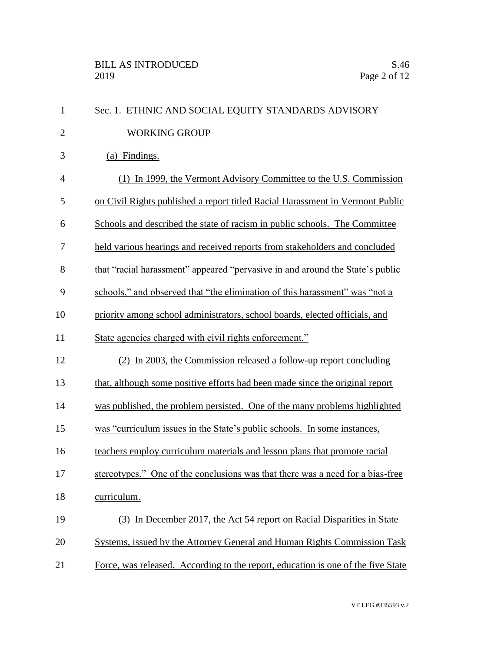| $\mathbf{1}$   | Sec. 1. ETHNIC AND SOCIAL EQUITY STANDARDS ADVISORY                              |
|----------------|----------------------------------------------------------------------------------|
| $\overline{2}$ | <b>WORKING GROUP</b>                                                             |
| 3              | (a) Findings.                                                                    |
| $\overline{4}$ | (1) In 1999, the Vermont Advisory Committee to the U.S. Commission               |
| 5              | on Civil Rights published a report titled Racial Harassment in Vermont Public    |
| 6              | Schools and described the state of racism in public schools. The Committee       |
| 7              | held various hearings and received reports from stakeholders and concluded       |
| 8              | that "racial harassment" appeared "pervasive in and around the State's public    |
| 9              | schools," and observed that "the elimination of this harassment" was "not a      |
| 10             | priority among school administrators, school boards, elected officials, and      |
| 11             | State agencies charged with civil rights enforcement."                           |
| 12             | (2) In 2003, the Commission released a follow-up report concluding               |
| 13             | that, although some positive efforts had been made since the original report     |
| 14             | was published, the problem persisted. One of the many problems highlighted       |
| 15             | was "curriculum issues in the State's public schools. In some instances,         |
| 16             | teachers employ curriculum materials and lesson plans that promote racial        |
| 17             | stereotypes." One of the conclusions was that there was a need for a bias-free   |
| 18             | curriculum.                                                                      |
| 19             | (3) In December 2017, the Act 54 report on Racial Disparities in State           |
| 20             | Systems, issued by the Attorney General and Human Rights Commission Task         |
| 21             | Force, was released. According to the report, education is one of the five State |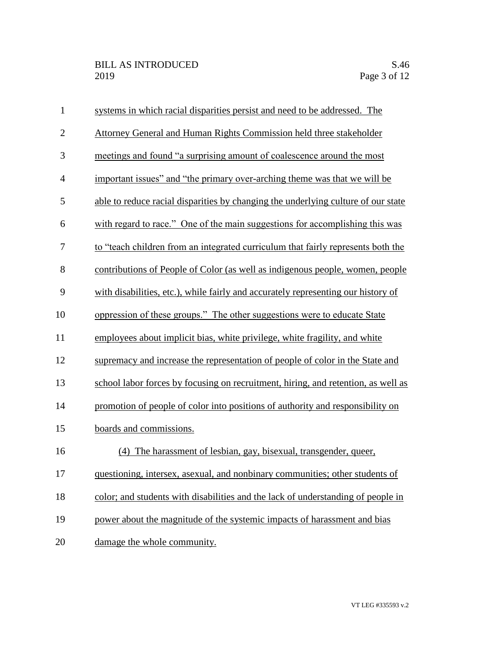| $\mathbf{1}$     | systems in which racial disparities persist and need to be addressed. The         |
|------------------|-----------------------------------------------------------------------------------|
| $\overline{2}$   | Attorney General and Human Rights Commission held three stakeholder               |
| 3                | meetings and found "a surprising amount of coalescence around the most            |
| $\overline{4}$   | important issues" and "the primary over-arching theme was that we will be         |
| 5                | able to reduce racial disparities by changing the underlying culture of our state |
| 6                | with regard to race." One of the main suggestions for accomplishing this was      |
| $\boldsymbol{7}$ | to "teach children from an integrated curriculum that fairly represents both the  |
| 8                | contributions of People of Color (as well as indigenous people, women, people     |
| 9                | with disabilities, etc.), while fairly and accurately representing our history of |
| 10               | oppression of these groups." The other suggestions were to educate State          |
| 11               | employees about implicit bias, white privilege, white fragility, and white        |
| 12               | supremacy and increase the representation of people of color in the State and     |
| 13               | school labor forces by focusing on recruitment, hiring, and retention, as well as |
| 14               | promotion of people of color into positions of authority and responsibility on    |
| 15               | boards and commissions.                                                           |
| 16               | (4) The harassment of lesbian, gay, bisexual, transgender, queer,                 |
| 17               | questioning, intersex, asexual, and nonbinary communities; other students of      |
| 18               | color; and students with disabilities and the lack of understanding of people in  |
| 19               | power about the magnitude of the systemic impacts of harassment and bias          |
| 20               | damage the whole community.                                                       |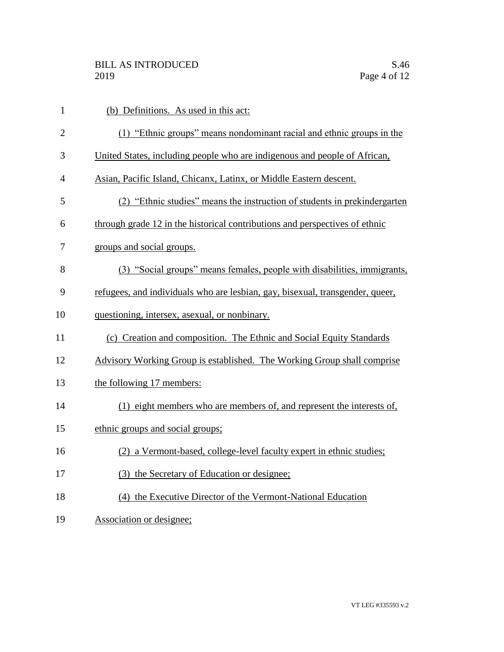| $\mathbf{1}$   | (b) Definitions. As used in this act:                                         |
|----------------|-------------------------------------------------------------------------------|
| $\overline{2}$ | (1) "Ethnic groups" means nondominant racial and ethnic groups in the         |
| 3              | United States, including people who are indigenous and people of African,     |
| 4              | Asian, Pacific Island, Chicanx, Latinx, or Middle Eastern descent.            |
| 5              | (2) "Ethnic studies" means the instruction of students in prekindergarten     |
| 6              | through grade 12 in the historical contributions and perspectives of ethnic   |
| 7              | groups and social groups.                                                     |
| 8              | (3) "Social groups" means females, people with disabilities, immigrants,      |
| 9              | refugees, and individuals who are lesbian, gay, bisexual, transgender, queer, |
| 10             | questioning, intersex, asexual, or nonbinary.                                 |
| 11             | (c) Creation and composition. The Ethnic and Social Equity Standards          |
| 12             | Advisory Working Group is established. The Working Group shall comprise       |
| 13             | the following 17 members:                                                     |
| 14             | (1) eight members who are members of, and represent the interests of,         |
| 15             | ethnic groups and social groups;                                              |
| 16             | (2) a Vermont-based, college-level faculty expert in ethnic studies;          |
| 17             | (3) the Secretary of Education or designee;                                   |
| 18             | (4) the Executive Director of the Vermont-National Education                  |
| 19             | Association or designee;                                                      |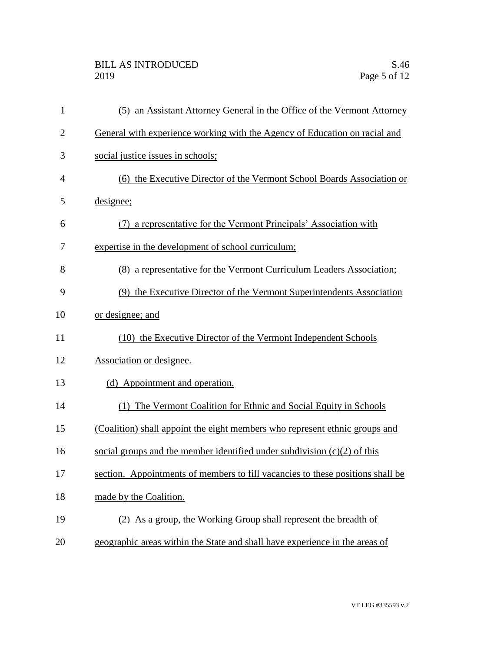| $\mathbf{1}$   | (5) an Assistant Attorney General in the Office of the Vermont Attorney        |
|----------------|--------------------------------------------------------------------------------|
| $\overline{2}$ | General with experience working with the Agency of Education on racial and     |
| 3              | social justice issues in schools;                                              |
| 4              | (6) the Executive Director of the Vermont School Boards Association or         |
| 5              | designee;                                                                      |
| 6              | (7) a representative for the Vermont Principals' Association with              |
| 7              | expertise in the development of school curriculum;                             |
| 8              | (8) a representative for the Vermont Curriculum Leaders Association;           |
| 9              | (9) the Executive Director of the Vermont Superintendents Association          |
| 10             | or designee; and                                                               |
| 11             | (10) the Executive Director of the Vermont Independent Schools                 |
| 12             | Association or designee.                                                       |
| 13             | (d) Appointment and operation.                                                 |
| 14             | (1) The Vermont Coalition for Ethnic and Social Equity in Schools              |
| 15             | (Coalition) shall appoint the eight members who represent ethnic groups and    |
| 16             | social groups and the member identified under subdivision $(c)(2)$ of this     |
| 17             | section. Appointments of members to fill vacancies to these positions shall be |
| 18             | made by the Coalition.                                                         |
| 19             | (2) As a group, the Working Group shall represent the breadth of               |
| 20             | geographic areas within the State and shall have experience in the areas of    |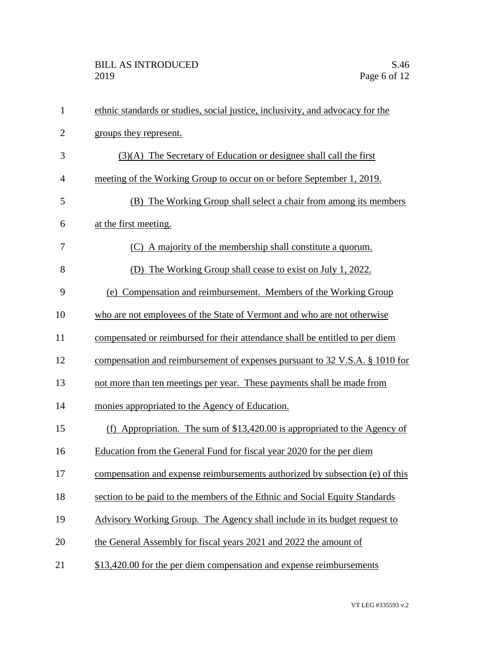| $\mathbf{1}$   | ethnic standards or studies, social justice, inclusivity, and advocacy for the |
|----------------|--------------------------------------------------------------------------------|
| $\overline{2}$ | groups they represent.                                                         |
| 3              | (3)(A) The Secretary of Education or designee shall call the first             |
| $\overline{4}$ | meeting of the Working Group to occur on or before September 1, 2019.          |
| 5              | (B) The Working Group shall select a chair from among its members              |
| 6              | at the first meeting.                                                          |
| 7              | (C) A majority of the membership shall constitute a quorum.                    |
| 8              | (D) The Working Group shall cease to exist on July 1, 2022.                    |
| 9              | (e) Compensation and reimbursement. Members of the Working Group               |
| 10             | who are not employees of the State of Vermont and who are not otherwise        |
| 11             | compensated or reimbursed for their attendance shall be entitled to per diem   |
| 12             | compensation and reimbursement of expenses pursuant to 32 V.S.A. § 1010 for    |
| 13             | not more than ten meetings per year. These payments shall be made from         |
| 14             | monies appropriated to the Agency of Education.                                |
| 15             | (f) Appropriation. The sum of $$13,420.00$ is appropriated to the Agency of    |
| 16             | Education from the General Fund for fiscal year 2020 for the per diem          |
| 17             | compensation and expense reimbursements authorized by subsection (e) of this   |
| 18             | section to be paid to the members of the Ethnic and Social Equity Standards    |
| 19             | Advisory Working Group. The Agency shall include in its budget request to      |
| 20             | the General Assembly for fiscal years 2021 and 2022 the amount of              |
| 21             | \$13,420.00 for the per diem compensation and expense reimbursements           |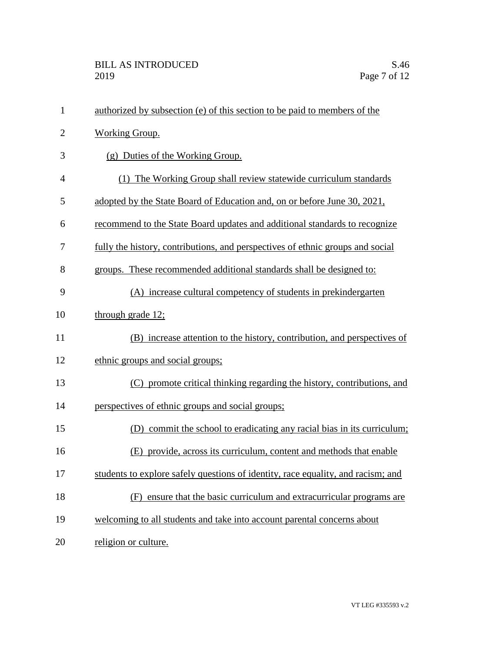| $\mathbf{1}$   | authorized by subsection (e) of this section to be paid to members of the        |
|----------------|----------------------------------------------------------------------------------|
| $\overline{2}$ | <b>Working Group.</b>                                                            |
| 3              | (g) Duties of the Working Group.                                                 |
| 4              | (1) The Working Group shall review statewide curriculum standards                |
| 5              | adopted by the State Board of Education and, on or before June 30, 2021,         |
| 6              | recommend to the State Board updates and additional standards to recognize       |
| 7              | fully the history, contributions, and perspectives of ethnic groups and social   |
| 8              | groups. These recommended additional standards shall be designed to:             |
| 9              | (A) increase cultural competency of students in prekindergarten                  |
| 10             | through grade 12;                                                                |
| 11             | (B) increase attention to the history, contribution, and perspectives of         |
| 12             | ethnic groups and social groups;                                                 |
| 13             | (C) promote critical thinking regarding the history, contributions, and          |
| 14             | perspectives of ethnic groups and social groups;                                 |
| 15             | commit the school to eradicating any racial bias in its curriculum;<br>(D)       |
| 16             | (E) provide, across its curriculum, content and methods that enable              |
| 17             | students to explore safely questions of identity, race equality, and racism; and |
| 18             | (F) ensure that the basic curriculum and extracurricular programs are            |
| 19             | welcoming to all students and take into account parental concerns about          |
| 20             | religion or culture.                                                             |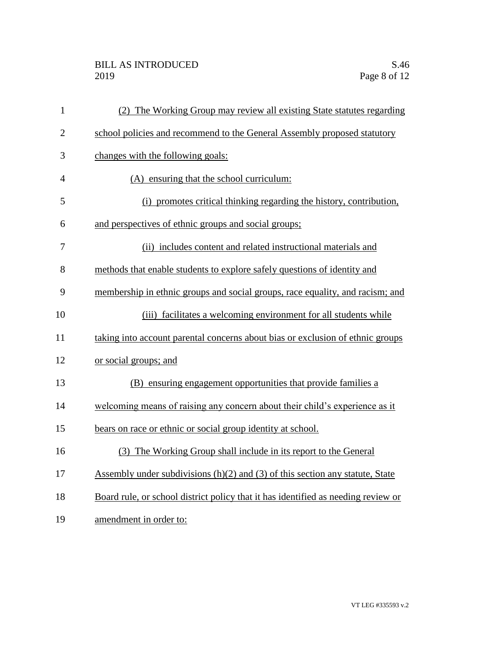## BILL AS INTRODUCED<br>2019 Page 8 of 12

| $\mathbf{1}$   | (2) The Working Group may review all existing State statutes regarding            |
|----------------|-----------------------------------------------------------------------------------|
| $\overline{2}$ | school policies and recommend to the General Assembly proposed statutory          |
| 3              | changes with the following goals:                                                 |
| 4              | (A) ensuring that the school curriculum:                                          |
| 5              | (i) promotes critical thinking regarding the history, contribution,               |
| 6              | and perspectives of ethnic groups and social groups;                              |
| 7              | (ii) includes content and related instructional materials and                     |
| 8              | methods that enable students to explore safely questions of identity and          |
| 9              | membership in ethnic groups and social groups, race equality, and racism; and     |
| 10             | (iii) facilitates a welcoming environment for all students while                  |
| 11             | taking into account parental concerns about bias or exclusion of ethnic groups    |
| 12             | or social groups; and                                                             |
| 13             | (B) ensuring engagement opportunities that provide families a                     |
| 14             | welcoming means of raising any concern about their child's experience as it       |
| 15             | bears on race or ethnic or social group identity at school.                       |
| 16             | (3) The Working Group shall include in its report to the General                  |
| 17             | Assembly under subdivisions $(h)(2)$ and $(3)$ of this section any statute, State |
| 18             | Board rule, or school district policy that it has identified as needing review or |
| 19             | amendment in order to:                                                            |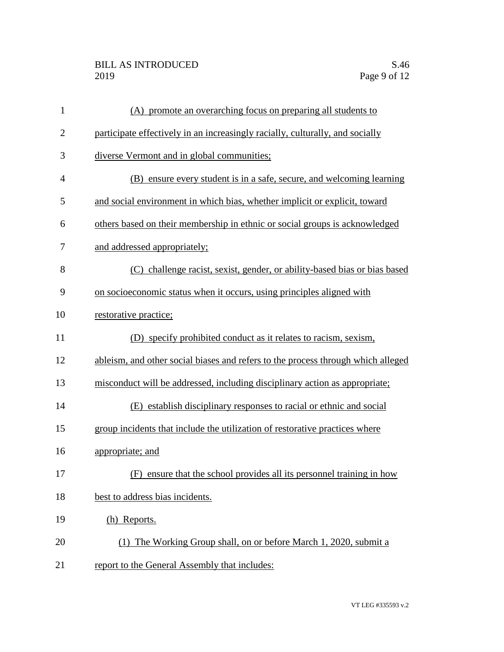## BILL AS INTRODUCED<br>2019 Page 9 of 12

| $\mathbf{1}$ | (A) promote an overarching focus on preparing all students to                    |
|--------------|----------------------------------------------------------------------------------|
| $\mathbf{2}$ | participate effectively in an increasingly racially, culturally, and socially    |
| 3            | diverse Vermont and in global communities;                                       |
| 4            | (B) ensure every student is in a safe, secure, and welcoming learning            |
| 5            | and social environment in which bias, whether implicit or explicit, toward       |
| 6            | others based on their membership in ethnic or social groups is acknowledged      |
| 7            | and addressed appropriately;                                                     |
| 8            | (C) challenge racist, sexist, gender, or ability-based bias or bias based        |
| 9            | on socioeconomic status when it occurs, using principles aligned with            |
| 10           | restorative practice;                                                            |
| 11           | (D) specify prohibited conduct as it relates to racism, sexism,                  |
| 12           | ableism, and other social biases and refers to the process through which alleged |
| 13           | misconduct will be addressed, including disciplinary action as appropriate;      |
| 14           | (E) establish disciplinary responses to racial or ethnic and social              |
| 15           | group incidents that include the utilization of restorative practices where      |
| 16           | appropriate; and                                                                 |
| 17           | (F) ensure that the school provides all its personnel training in how            |
| 18           | best to address bias incidents.                                                  |
| 19           | (h) Reports.                                                                     |
| 20           | (1) The Working Group shall, on or before March 1, 2020, submit a                |
| 21           | report to the General Assembly that includes:                                    |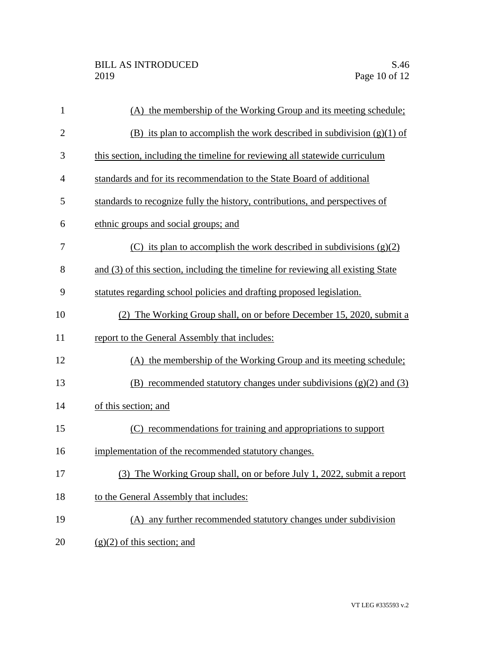| $\mathbf{1}$   | (A) the membership of the Working Group and its meeting schedule;                |
|----------------|----------------------------------------------------------------------------------|
| $\overline{2}$ | (B) its plan to accomplish the work described in subdivision $(g)(1)$ of         |
| 3              | this section, including the timeline for reviewing all statewide curriculum      |
| $\overline{4}$ | standards and for its recommendation to the State Board of additional            |
| 5              | standards to recognize fully the history, contributions, and perspectives of     |
| 6              | ethnic groups and social groups; and                                             |
| 7              | (C) its plan to accomplish the work described in subdivisions $(g)(2)$           |
| 8              | and (3) of this section, including the timeline for reviewing all existing State |
| 9              | statutes regarding school policies and drafting proposed legislation.            |
| 10             | (2) The Working Group shall, on or before December 15, 2020, submit a            |
| 11             | report to the General Assembly that includes:                                    |
| 12             | (A) the membership of the Working Group and its meeting schedule;                |
| 13             | (B) recommended statutory changes under subdivisions $(g)(2)$ and $(3)$          |
| 14             | of this section; and                                                             |
| 15             | (C) recommendations for training and appropriations to support                   |
| 16             | implementation of the recommended statutory changes.                             |
| 17             | (3) The Working Group shall, on or before July 1, 2022, submit a report          |
| 18             | to the General Assembly that includes:                                           |
| 19             | (A) any further recommended statutory changes under subdivision                  |
| 20             | $(g)(2)$ of this section; and                                                    |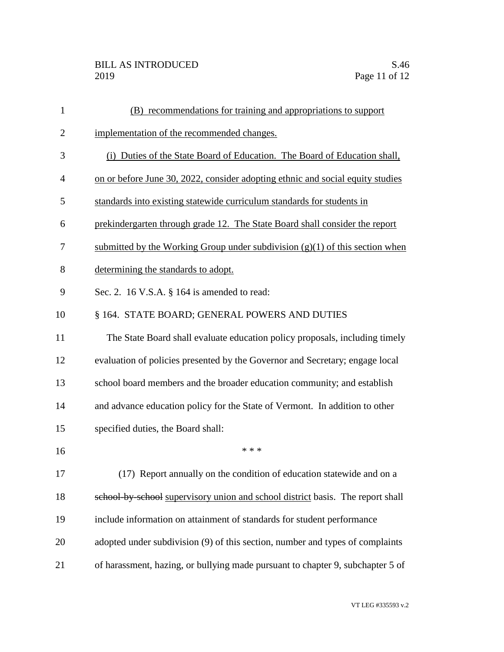| $\mathbf{1}$   | (B) recommendations for training and appropriations to support                 |
|----------------|--------------------------------------------------------------------------------|
| $\overline{2}$ | implementation of the recommended changes.                                     |
| 3              | (i) Duties of the State Board of Education. The Board of Education shall,      |
| $\overline{4}$ | on or before June 30, 2022, consider adopting ethnic and social equity studies |
| 5              | standards into existing statewide curriculum standards for students in         |
| 6              | prekindergarten through grade 12. The State Board shall consider the report    |
| 7              | submitted by the Working Group under subdivision $(g)(1)$ of this section when |
| 8              | determining the standards to adopt.                                            |
| 9              | Sec. 2. 16 V.S.A. § 164 is amended to read:                                    |
| 10             | § 164. STATE BOARD; GENERAL POWERS AND DUTIES                                  |
| 11             | The State Board shall evaluate education policy proposals, including timely    |
| 12             | evaluation of policies presented by the Governor and Secretary; engage local   |
| 13             | school board members and the broader education community; and establish        |
| 14             | and advance education policy for the State of Vermont. In addition to other    |
| 15             | specified duties, the Board shall:                                             |
| 16             | * * *                                                                          |
| 17             | (17) Report annually on the condition of education statewide and on a          |
| 18             | school by school supervisory union and school district basis. The report shall |
| 19             | include information on attainment of standards for student performance         |
| 20             | adopted under subdivision (9) of this section, number and types of complaints  |
| 21             | of harassment, hazing, or bullying made pursuant to chapter 9, subchapter 5 of |